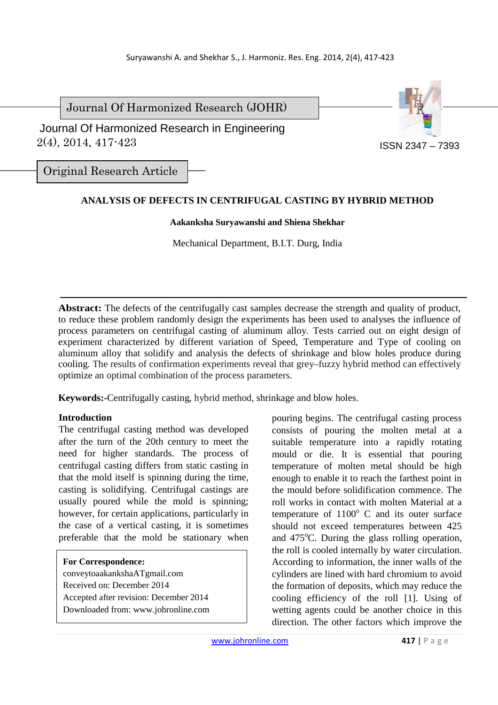Journal Of Harmonized Research (JOHR)

 2(4), 2014, 417-423 Journal Of Harmonized Research in Engineering



Original Research Article

# **ANALYSIS OF DEFECTS IN CENTRIFUGAL CASTING BY HYBRID METHOD**

### **Aakanksha Suryawanshi and Shiena Shekhar**

Mechanical Department, B.I.T. Durg, India

**Abstract:** The defects of the centrifugally cast samples decrease the strength and quality of product, to reduce these problem randomly design the experiments has been used to analyses the influence of process parameters on centrifugal casting of aluminum alloy. Tests carried out on eight design of experiment characterized by different variation of Speed, Temperature and Type of cooling on aluminum alloy that solidify and analysis the defects of shrinkage and blow holes produce during cooling. The results of confirmation experiments reveal that grey–fuzzy hybrid method can effectively optimize an optimal combination of the process parameters.

**Keywords:-**Centrifugally casting, hybrid method, shrinkage and blow holes.

### **Introduction**

The centrifugal casting method was developed after the turn of the 20th century to meet the need for higher standards. The process of centrifugal casting differs from static casting in that the mold itself is spinning during the time, casting is solidifying. Centrifugal castings are usually poured while the mold is spinning; however, for certain applications, particularly in the case of a vertical casting, it is sometimes preferable that the mold be stationary when

#### **For Correspondence:**

conveytoaakankshaATgmail.com Received on: December 2014 Accepted after revision: December 2014 Downloaded from: www.johronline.com pouring begins. The centrifugal casting process consists of pouring the molten metal at a suitable temperature into a rapidly rotating mould or die. It is essential that pouring temperature of molten metal should be high enough to enable it to reach the farthest point in the mould before solidification commence. The roll works in contact with molten Material at a temperature of  $1100^{\circ}$  C and its outer surface should not exceed temperatures between 425 and  $475^{\circ}$ C. During the glass rolling operation. the roll is cooled internally by water circulation. According to information, the inner walls of the cylinders are lined with hard chromium to avoid the formation of deposits, which may reduce the cooling efficiency of the roll [1]. Using of wetting agents could be another choice in this direction. The other factors which improve the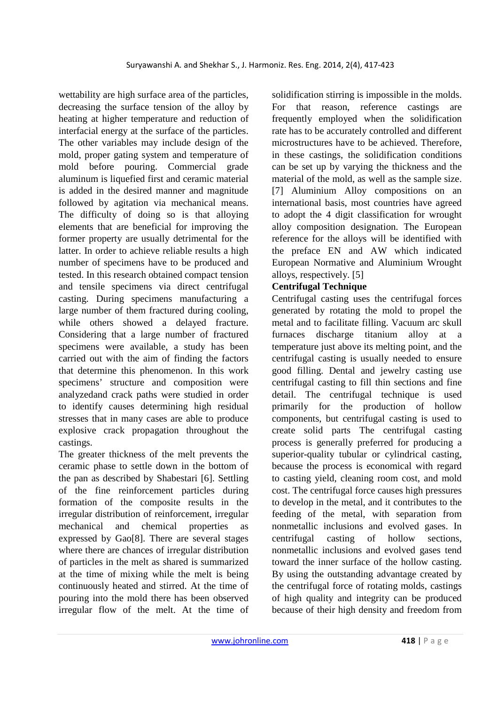wettability are high surface area of the particles, decreasing the surface tension of the alloy by heating at higher temperature and reduction of interfacial energy at the surface of the particles. The other variables may include design of the mold, proper gating system and temperature of mold before pouring. Commercial grade aluminum is liquefied first and ceramic material is added in the desired manner and magnitude followed by agitation via mechanical means. The difficulty of doing so is that alloying elements that are beneficial for improving the former property are usually detrimental for the latter. In order to achieve reliable results a high number of specimens have to be produced and tested. In this research obtained compact tension and tensile specimens via direct centrifugal casting. During specimens manufacturing a large number of them fractured during cooling, while others showed a delayed fracture. Considering that a large number of fractured specimens were available, a study has been carried out with the aim of finding the factors that determine this phenomenon. In this work specimens' structure and composition were analyzedand crack paths were studied in order to identify causes determining high residual stresses that in many cases are able to produce explosive crack propagation throughout the castings.

The greater thickness of the melt prevents the ceramic phase to settle down in the bottom of the pan as described by Shabestari [6]. Settling of the fine reinforcement particles during formation of the composite results in the irregular distribution of reinforcement, irregular mechanical and chemical properties as expressed by Gao[8]. There are several stages where there are chances of irregular distribution of particles in the melt as shared is summarized at the time of mixing while the melt is being continuously heated and stirred. At the time of pouring into the mold there has been observed irregular flow of the melt. At the time of solidification stirring is impossible in the molds. For that reason, reference castings are frequently employed when the solidification rate has to be accurately controlled and different microstructures have to be achieved. Therefore, in these castings, the solidification conditions can be set up by varying the thickness and the material of the mold, as well as the sample size. [7] Aluminium Alloy compositions on an international basis, most countries have agreed to adopt the 4 digit classification for wrought alloy composition designation. The European reference for the alloys will be identified with the preface EN and AW which indicated European Normative and Aluminium Wrought alloys, respectively. [5]

# **Centrifugal Technique**

Centrifugal casting uses the centrifugal forces generated by rotating the mold to propel the metal and to facilitate filling. Vacuum arc skull furnaces discharge titanium alloy at a temperature just above its melting point, and the centrifugal casting is usually needed to ensure good filling. Dental and jewelry casting use centrifugal casting to fill thin sections and fine detail. The centrifugal technique is used primarily for the production of hollow components, but centrifugal casting is used to create solid parts The centrifugal casting process is generally preferred for producing a superior-quality tubular or cylindrical casting, because the process is economical with regard to casting yield, cleaning room cost, and mold cost. The centrifugal force causes high pressures to develop in the metal, and it contributes to the feeding of the metal, with separation from nonmetallic inclusions and evolved gases. In centrifugal casting of hollow sections, nonmetallic inclusions and evolved gases tend toward the inner surface of the hollow casting. By using the outstanding advantage created by the centrifugal force of rotating molds, castings of high quality and integrity can be produced because of their high density and freedom from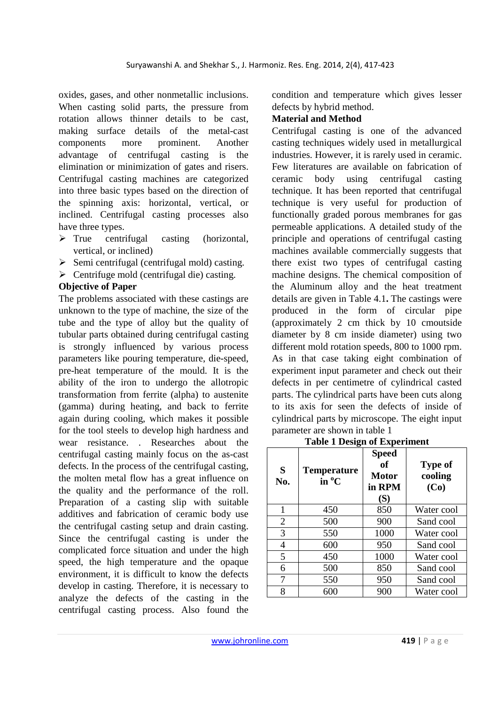oxides, gases, and other nonmetallic inclusions. When casting solid parts, the pressure from rotation allows thinner details to be cast, making surface details of the metal-cast components more prominent. Another advantage of centrifugal casting is the elimination or minimization of gates and risers. Centrifugal casting machines are categorized into three basic types based on the direction of the spinning axis: horizontal, vertical, or inclined. Centrifugal casting processes also have three types.

- $\triangleright$  True centrifugal casting (horizontal, vertical, or inclined)
- $\triangleright$  Semi centrifugal (centrifugal mold) casting.
- $\triangleright$  Centrifuge mold (centrifugal die) casting.

### **Objective of Paper**

The problems associated with these castings are unknown to the type of machine, the size of the tube and the type of alloy but the quality of tubular parts obtained during centrifugal casting is strongly influenced by various process parameters like pouring temperature, die-speed, pre-heat temperature of the mould. It is the ability of the iron to undergo the allotropic transformation from ferrite (alpha) to austenite (gamma) during heating, and back to ferrite again during cooling, which makes it possible for the tool steels to develop high hardness and wear resistance. . Researches about the centrifugal casting mainly focus on the as-cast defects. In the process of the centrifugal casting, the molten metal flow has a great influence on the quality and the performance of the roll. Preparation of a casting slip with suitable additives and fabrication of ceramic body use the centrifugal casting setup and drain casting. Since the centrifugal casting is under the complicated force situation and under the high speed, the high temperature and the opaque environment, it is difficult to know the defects develop in casting. Therefore, it is necessary to analyze the defects of the casting in the centrifugal casting process. Also found the condition and temperature which gives lesser defects by hybrid method.

## **Material and Method**

Centrifugal casting is one of the advanced casting techniques widely used in metallurgical industries. However, it is rarely used in ceramic. Few literatures are available on fabrication of ceramic body using centrifugal casting technique. It has been reported that centrifugal technique is very useful for production of functionally graded porous membranes for gas permeable applications. A detailed study of the principle and operations of centrifugal casting machines available commercially suggests that there exist two types of centrifugal casting machine designs. The chemical composition of the Aluminum alloy and the heat treatment details are given in Table 4.1**.** The castings were produced in the form of circular pipe (approximately 2 cm thick by 10 cmoutside diameter by 8 cm inside diameter) using two different mold rotation speeds, 800 to 1000 rpm. As in that case taking eight combination of experiment input parameter and check out their defects in per centimetre of cylindrical casted parts. The cylindrical parts have been cuts along to its axis for seen the defects of inside of cylindrical parts by microscope. The eight input parameter are shown in table 1

#### **Table 1 Design of Experiment**

| S<br>No.       | o<br><b>Temperature</b><br>$in^oC$ | <b>Speed</b><br>of<br><b>Motor</b><br>in RPM<br>(S) | <b>Type of</b><br>cooling<br>(Co) |
|----------------|------------------------------------|-----------------------------------------------------|-----------------------------------|
| 1              | 450                                | 850                                                 | Water cool                        |
| $\overline{2}$ | 500                                | 900                                                 | Sand cool                         |
| 3              | 550                                | 1000                                                | Water cool                        |
| 4              | 600                                | 950                                                 | Sand cool                         |
| 5              | 450                                | 1000                                                | Water cool                        |
| 6              | 500                                | 850                                                 | Sand cool                         |
| 7              | 550                                | 950                                                 | Sand cool                         |
| 8              | 600                                | 900                                                 | Water cool                        |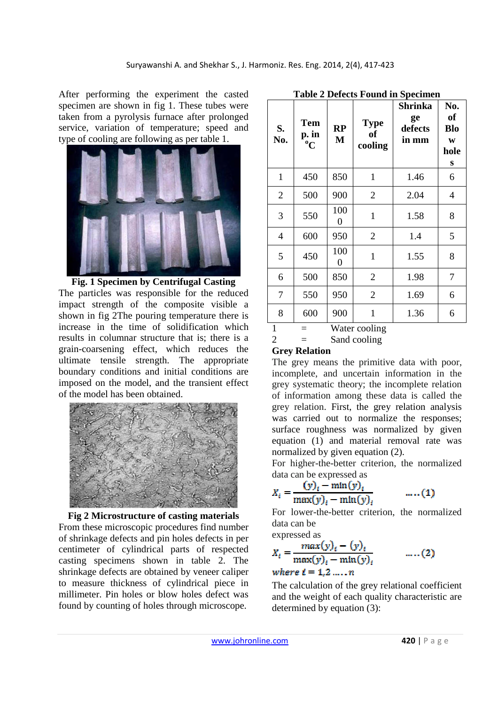After performing the experiment the casted specimen are shown in fig 1. These tubes were taken from a pyrolysis furnace after prolonged service, variation of temperature; speed and type of cooling are following as per table 1.



**Fig. 1 Specimen by Centrifugal Casting**  The particles was responsible for the reduced impact strength of the composite visible a shown in fig 2The pouring temperature there is increase in the time of solidification which results in columnar structure that is; there is a grain-coarsening effect, which reduces the ultimate tensile strength. The appropriate boundary conditions and initial conditions are imposed on the model, and the transient effect of the model has been obtained.



**Fig 2 Microstructure of casting materials**  From these microscopic procedures find number of shrinkage defects and pin holes defects in per centimeter of cylindrical parts of respected casting specimens shown in table 2. The shrinkage defects are obtained by veneer caliper to measure thickness of cylindrical piece in millimeter. Pin holes or blow holes defect was found by counting of holes through microscope.

| S.<br>No.      | Tem<br>p. in<br>$\rm ^{0}C$ | RP<br>M  | <b>Type</b><br>of<br>cooling | <b>Shrinka</b><br>ge<br>defects<br>in mm | No.<br>of<br><b>Blo</b><br>W<br>hole<br>S |
|----------------|-----------------------------|----------|------------------------------|------------------------------------------|-------------------------------------------|
| $\mathbf{1}$   | 450                         | 850      | $\mathbf{1}$                 | 1.46                                     | 6                                         |
| $\overline{2}$ | 500                         | 900      | $\overline{2}$               | 2.04                                     | $\overline{4}$                            |
| 3              | 550                         | 100<br>0 | $\mathbf{1}$                 | 1.58                                     | 8                                         |
| $\overline{4}$ | 600                         | 950      | $\overline{2}$               | 1.4                                      | 5                                         |
| 5              | 450                         | 100<br>0 | $\mathbf{1}$                 | 1.55                                     | 8                                         |
| 6              | 500                         | 850      | $\overline{2}$               | 1.98                                     | 7                                         |
| 7              | 550                         | 950      | $\overline{2}$               | 1.69                                     | 6                                         |
| 8              | 600                         | 900      | $\mathbf{1}$                 | 1.36                                     | 6                                         |
| $\mathbf{1}$   |                             |          | Water cooling                |                                          |                                           |

| <b>Table 2 Defects Found in Specimen</b> |  |  |
|------------------------------------------|--|--|
|------------------------------------------|--|--|

#### $2 =$  Sand cooling **Grey Relation**

The grey means the primitive data with poor, incomplete, and uncertain information in the grey systematic theory; the incomplete relation of information among these data is called the grey relation. First, the grey relation analysis was carried out to normalize the responses; surface roughness was normalized by given equation (1) and material removal rate was normalized by given equation (2).

For higher-the-better criterion, the normalized data can be expressed as

$$
X_i = \frac{(y)_i - \min(y)_i}{\max(y)_i - \min(y)_i} \qquad \qquad \dots (1)
$$

For lower-the-better criterion, the normalized data can be

expressed as

$$
X_{i} = \frac{max(y)_{i} - (y)_{i}}{max(y)_{i} - min(y)_{i}} \qquad \dots (2)
$$

where 
$$
i = 1, 2, \ldots, n
$$

The calculation of the grey relational coefficient and the weight of each quality characteristic are determined by equation (3):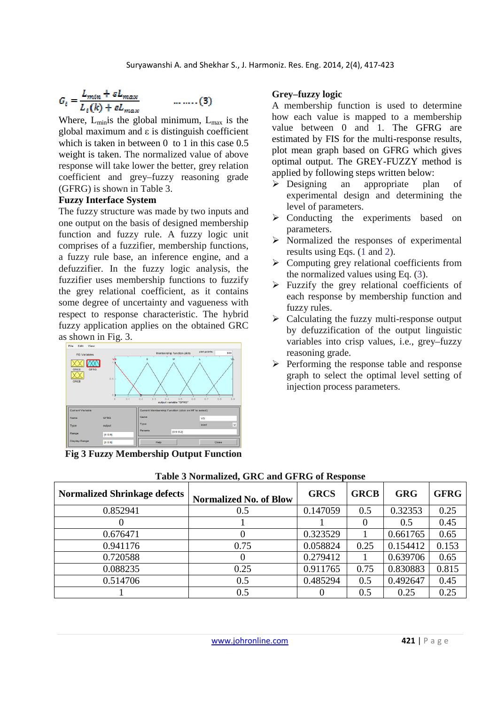$$
G_i = \frac{L_{min} + \varepsilon L_{max}}{L_i(k) + \varepsilon L_{max}}
$$

Where,  $L_{min}$  is the global minimum,  $L_{max}$  is the global maximum and  $ε$  is distinguish coefficient which is taken in between 0 to 1 in this case 0.5 weight is taken. The normalized value of above response will take lower the better, grey relation coefficient and grey–fuzzy reasoning grade (GFRG) is shown in Table 3.

 $...,..., (3)$ 

### **Fuzzy Interface System**

The fuzzy structure was made by two inputs and one output on the basis of designed membership function and fuzzy rule. A fuzzy logic unit comprises of a fuzzifier, membership functions, a fuzzy rule base, an inference engine, and a defuzzifier. In the fuzzy logic analysis, the fuzzifier uses membership functions to fuzzify the grey relational coefficient, as it contains some degree of uncertainty and vagueness with respect to response characteristic. The hybrid fuzzy application applies on the obtained GRC as shown in Fig. 3.



**Fig 3 Fuzzy Membership Output Function**

## **Grey–fuzzy logic**

A membership function is used to determine how each value is mapped to a membership value between 0 and 1. The GFRG are estimated by FIS for the multi-response results, plot mean graph based on GFRG which gives optimal output. The GREY-FUZZY method is applied by following steps written below:

- Designing an appropriate plan of experimental design and determining the level of parameters.
- $\triangleright$  Conducting the experiments based on parameters.
- $\triangleright$  Normalized the responses of experimental results using Eqs. (1 and 2).
- $\triangleright$  Computing grey relational coefficients from the normalized values using Eq. (3).
- $\triangleright$  Fuzzify the grey relational coefficients of each response by membership function and fuzzy rules.
- $\triangleright$  Calculating the fuzzy multi-response output by defuzzification of the output linguistic variables into crisp values, i.e., grey–fuzzy reasoning grade.
- $\triangleright$  Performing the response table and response graph to select the optimal level setting of injection process parameters.

| <b>Normalized Shrinkage defects</b> | <b>Normalized No. of Blow</b> | <b>GRCS</b> | <b>GRCB</b> | <b>GRG</b> | <b>GFRG</b> |
|-------------------------------------|-------------------------------|-------------|-------------|------------|-------------|
| 0.852941                            | 0.5                           | 0.147059    | 0.5         | 0.32353    | 0.25        |
|                                     |                               |             |             | 0.5        | 0.45        |
| 0.676471                            | $\theta$                      | 0.323529    |             | 0.661765   | 0.65        |
| 0.941176                            | 0.75                          | 0.058824    | 0.25        | 0.154412   | 0.153       |
| 0.720588                            | 0                             | 0.279412    |             | 0.639706   | 0.65        |
| 0.088235                            | 0.25                          | 0.911765    | 0.75        | 0.830883   | 0.815       |
| 0.514706                            | 0.5                           | 0.485294    | 0.5         | 0.492647   | 0.45        |
|                                     | 0.5                           |             | 0.5         | 0.25       | 0.25        |

**Table 3 Normalized, GRC and GFRG of Response**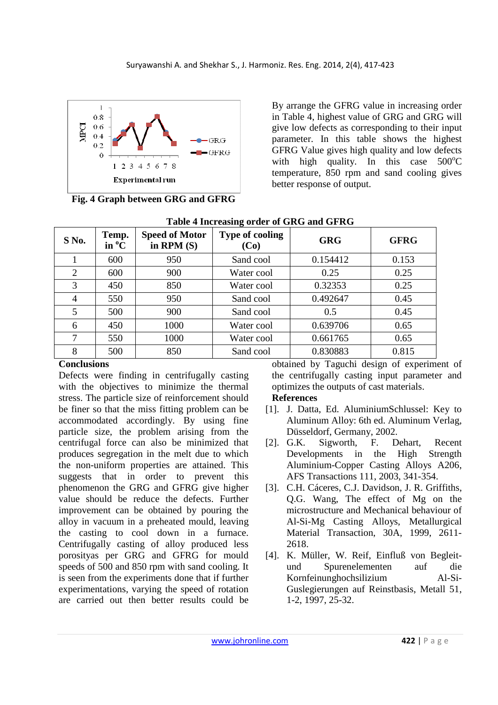

**Fig. 4 Graph between GRG and GFRG** 

By arrange the GFRG value in increasing order in Table 4, highest value of GRG and GRG will give low defects as corresponding to their input parameter. In this table shows the highest GFRG Value gives high quality and low defects with high quality. In this case  $500^{\circ}$ C temperature, 850 rpm and sand cooling gives better response of output.

| Lable + Hill casing of act of GAG and GPAG |                                                  |                                       |                                |            |             |
|--------------------------------------------|--------------------------------------------------|---------------------------------------|--------------------------------|------------|-------------|
| $S$ No.                                    | Temp.<br>$\mathbf{in} \ ^{\mathbf{o}}\mathbf{C}$ | <b>Speed of Motor</b><br>in RPM $(S)$ | <b>Type of cooling</b><br>(Co) | <b>GRG</b> | <b>GFRG</b> |
|                                            | 600                                              | 950                                   | Sand cool                      | 0.154412   | 0.153       |
| 2                                          | 600                                              | 900                                   | Water cool                     | 0.25       | 0.25        |
| 3                                          | 450                                              | 850                                   | Water cool                     | 0.32353    | 0.25        |
| 4                                          | 550                                              | 950                                   | Sand cool                      | 0.492647   | 0.45        |
| 5                                          | 500                                              | 900                                   | Sand cool                      | 0.5        | 0.45        |
| 6                                          | 450                                              | 1000                                  | Water cool                     | 0.639706   | 0.65        |
|                                            | 550                                              | 1000                                  | Water cool                     | 0.661765   | 0.65        |
| 8                                          | 500                                              | 850                                   | Sand cool                      | 0.830883   | 0.815       |

# **Table 4 Increasing order of GRG and GFRG**

# **Conclusions**

Defects were finding in centrifugally casting with the objectives to minimize the thermal stress. The particle size of reinforcement should be finer so that the miss fitting problem can be accommodated accordingly. By using fine particle size, the problem arising from the centrifugal force can also be minimized that produces segregation in the melt due to which the non-uniform properties are attained. This suggests that in order to prevent this phenomenon the GRG and GFRG give higher value should be reduce the defects. Further improvement can be obtained by pouring the alloy in vacuum in a preheated mould, leaving the casting to cool down in a furnace. Centrifugally casting of alloy produced less porosityas per GRG and GFRG for mould speeds of 500 and 850 rpm with sand cooling. It is seen from the experiments done that if further experimentations, varying the speed of rotation are carried out then better results could be

obtained by Taguchi design of experiment of the centrifugally casting input parameter and optimizes the outputs of cast materials.

### **References**

- [1]. J. Datta, Ed. AluminiumSchlussel: Key to Aluminum Alloy: 6th ed. Aluminum Verlag, Düsseldorf, Germany, 2002.
- [2]. G.K. Sigworth, F. Dehart, Recent Developments in the High Strength Aluminium-Copper Casting Alloys A206, AFS Transactions 111, 2003, 341-354.
- [3]. C.H. Cáceres, C.J. Davidson, J. R. Griffiths, Q.G. Wang, The effect of Mg on the microstructure and Mechanical behaviour of Al-Si-Mg Casting Alloys, Metallurgical Material Transaction, 30A, 1999, 2611- 2618.
- [4]. K. Müller, W. Reif, Einfluß von Begleitund Spurenelementen auf die Kornfeinunghochsilizium Al-Si-Guslegierungen auf Reinstbasis, Metall 51, 1-2, 1997, 25-32.